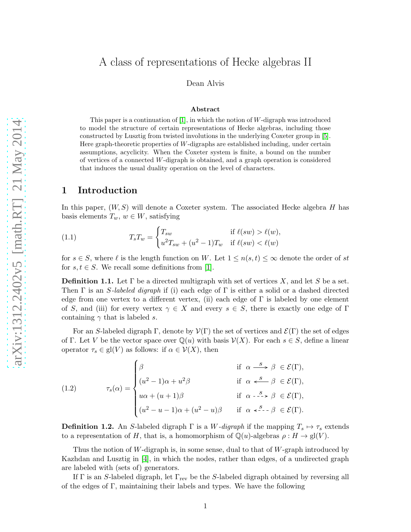# A class of representations of Hecke algebras II

Dean Alvis

#### Abstract

This paper is a continuation of  $|1|$ , in which the notion of W-digraph was introduced to model the structure of certain representations of Hecke algebras, including those constructed by Lusztig from twisted involutions in the underlying Coxeter group in [\[5\]](#page-14-1). Here graph-theoretic properties of W-digraphs are established including, under certain assumptions, acyclicity. When the Coxeter system is finite, a bound on the number of vertices of a connected  $W$ -digraph is obtained, and a graph operation is considered that induces the usual duality operation on the level of characters.

### 1 Introduction

In this paper,  $(W, S)$  will denote a Coxeter system. The associated Hecke algebra H has basis elements  $T_w, w \in W$ , satisfying

(1.1) 
$$
T_{s}T_{w} = \begin{cases} T_{sw} & \text{if } \ell(sw) > \ell(w), \\ u^{2}T_{sw} + (u^{2} - 1)T_{w} & \text{if } \ell(sw) < \ell(w) \end{cases}
$$

for  $s \in S$ , where  $\ell$  is the length function on W. Let  $1 \leq n(s,t) \leq \infty$  denote the order of st for  $s, t \in S$ . We recall some definitions from [\[1\]](#page-14-0).

**Definition 1.1.** Let  $\Gamma$  be a directed multigraph with set of vertices X, and let S be a set. Then  $\Gamma$  is an *S*-labeled digraph if (i) each edge of  $\Gamma$  is either a solid or a dashed directed edge from one vertex to a different vertex, (ii) each edge of  $\Gamma$  is labeled by one element of S, and (iii) for every vertex  $\gamma \in X$  and every  $s \in S$ , there is exactly one edge of Γ containing  $\gamma$  that is labeled s.

For an S-labeled digraph Γ, denote by  $\mathcal{V}(\Gamma)$  the set of vertices and  $\mathcal{E}(\Gamma)$  the set of edges of Γ. Let V be the vector space over  $\mathbb{Q}(u)$  with basis  $\mathcal{V}(X)$ . For each  $s \in S$ , define a linear operator  $\tau_s \in \text{gl}(V)$  as follows: if  $\alpha \in \mathcal{V}(X)$ , then

<span id="page-0-0"></span>(1.2) 
$$
\tau_s(\alpha) = \begin{cases} \beta & \text{if } \alpha \stackrel{s}{\longrightarrow} \beta \in \mathcal{E}(\Gamma), \\ (u^2 - 1)\alpha + u^2\beta & \text{if } \alpha \stackrel{s}{\longleftarrow} \beta \in \mathcal{E}(\Gamma), \\ u\alpha + (u+1)\beta & \text{if } \alpha \stackrel{s}{\longleftarrow} \beta \in \mathcal{E}(\Gamma), \\ (u^2 - u - 1)\alpha + (u^2 - u)\beta & \text{if } \alpha \stackrel{s}{\longleftarrow} \beta \in \mathcal{E}(\Gamma). \end{cases}
$$

<span id="page-0-1"></span>**Definition 1.2.** An S-labeled digraph  $\Gamma$  is a W-digraph if the mapping  $T_s \mapsto \tau_s$  extends to a representation of H, that is, a homomorphism of  $\mathbb{Q}(u)$ -algebras  $\rho: H \to \text{gl}(V)$ .

Thus the notion of W-digraph is, in some sense, dual to that of  $W$ -graph introduced by Kazhdan and Lusztig in [\[4\]](#page-14-2), in which the nodes, rather than edges, of a undirected graph are labeled with (sets of) generators.

If  $\Gamma$  is an S-labeled digraph, let  $\Gamma_{\text{rev}}$  be the S-labeled digraph obtained by reversing all of the edges of Γ, maintaining their labels and types. We have the following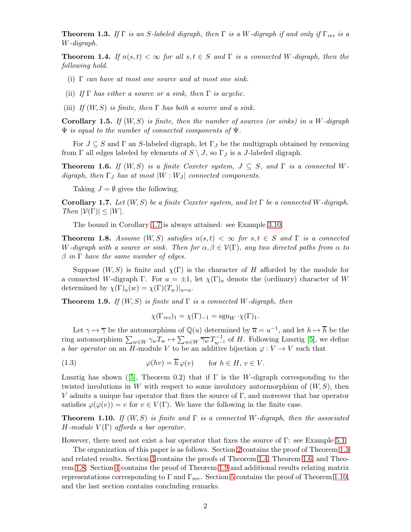<span id="page-1-1"></span>**Theorem 1.3.** If Γ is an S-labeled digraph, then Γ is a W-digraph if and only if  $\Gamma_{rev}$  is a W-digraph.

<span id="page-1-2"></span>**Theorem 1.4.** If  $n(s,t) < \infty$  for all  $s,t \in S$  and  $\Gamma$  is a connected W-digraph, then the following hold.

- (i)  $\Gamma$  can have at most one source and at most one sink.
- (ii) If  $\Gamma$  has either a source or a sink, then  $\Gamma$  is acyclic.
- (iii) If  $(W, S)$  is finite, then  $\Gamma$  has both a source and a sink.

**Corollary 1.5.** If  $(W, S)$  is finite, then the number of sources (or sinks) in a W-digraph  $\Psi$  is equal to the number of connected components of  $\Psi$ .

For  $J \subseteq S$  and  $\Gamma$  an S-labeled digraph, let  $\Gamma_J$  be the multigraph obtained by removing from  $\Gamma$  all edges labeled by elements of  $S \setminus J$ , so  $\Gamma_J$  is a J-labeled digraph.

<span id="page-1-3"></span>**Theorem 1.6.** If  $(W, S)$  is a finite Coxeter system,  $J \subseteq S$ , and  $\Gamma$  is a connected Wdigraph, then  $\Gamma_J$  has at most  $|W:W_J|$  connected components.

Taking  $J = \emptyset$  gives the following.

<span id="page-1-0"></span>Corollary 1.7. Let  $(W, S)$  be a finite Coxeter system, and let  $\Gamma$  be a connected W-digraph. Then  $|\mathcal{V}(\Gamma)| \leq |W|$ .

The bound in Corollary [1.7](#page-1-0) is always attained: see Example [3.10.](#page-9-0)

<span id="page-1-4"></span>**Theorem 1.8.** Assume  $(W, S)$  satisfies  $n(s, t) < \infty$  for  $s, t \in S$  and  $\Gamma$  is a connected W-digraph with a source or sink. Then for  $\alpha, \beta \in V(\Gamma)$ , any two directed paths from  $\alpha$  to  $\beta$  in  $\Gamma$  have the same number of edges.

Suppose  $(W, S)$  is finite and  $\chi(\Gamma)$  is the character of H afforded by the module for a connected W-digraph Γ. For  $a = \pm 1$ , let  $\chi(\Gamma)_a$  denote the (ordinary) character of W determined by  $\chi(\Gamma)_a(w) = \chi(\Gamma)(T_w)|_{u=a}$ .

<span id="page-1-5"></span>**Theorem 1.9.** If  $(W, S)$  is finite and  $\Gamma$  is a connected W-digraph, then

<span id="page-1-7"></span>
$$
\chi(\Gamma_{rev})_1 = \chi(\Gamma)_{-1} = \operatorname{sgn}_W \cdot \chi(\Gamma)_1.
$$

Let  $\gamma \mapsto \overline{\gamma}$  be the automorphism of  $\mathbb{Q}(u)$  determined by  $\overline{u} = u^{-1}$ , and let  $h \mapsto \overline{h}$  be the ring automorphism  $\sum_{w\in W} \gamma_w T_w \mapsto \sum_{w\in W} \overline{\gamma_w} T_{w^{-1}}^{-1}$  of H. Following Lusztig [\[5\]](#page-14-1), we define a bar operator on an H-module V to be an additive bijection  $\varphi: V \to V$  such that

(1.3) 
$$
\varphi(hv) = \overline{h}\varphi(v) \quad \text{for } h \in H, v \in V.
$$

Lusztighas shown ([\[5\]](#page-14-1), Theorem 0.2) that if  $\Gamma$  is the W-digraph corresponding to the twisted involutions in W with respect to some involutory automorphism of  $(W, S)$ , then V admits a unique bar operator that fixes the source of  $\Gamma$ , and moreover that bar operator satisfies  $\varphi(\varphi(v)) = v$  for  $v \in V(\Gamma)$ . We have the following in the finite case.

<span id="page-1-6"></span>**Theorem 1.10.** If  $(W, S)$  is finite and  $\Gamma$  is a connected W-digraph, then the associated H-module  $V(\Gamma)$  affords a bar operator.

However, there need not exist a bar operator that fixes the source of Γ: see Example [5.1.](#page-13-0)

The organization of this paper is as follows. Section [2](#page-2-0) contains the proof of Theorem [1.3](#page-1-1) and related results. Section [3](#page-4-0) contains the proofs of Theorem [1.4,](#page-1-2) Theorem [1.6,](#page-1-3) and Theorem [1.8.](#page-1-4) Section [4](#page-9-1) contains the proof of Theorem [1.9](#page-1-5) and additional results relating matrix representations corresponding to  $\Gamma$  and  $\Gamma_{\text{rev}}$ . Section [5](#page-12-0) contains the proof of Theorem [1.10,](#page-1-6) and the last section contains concluding remarks.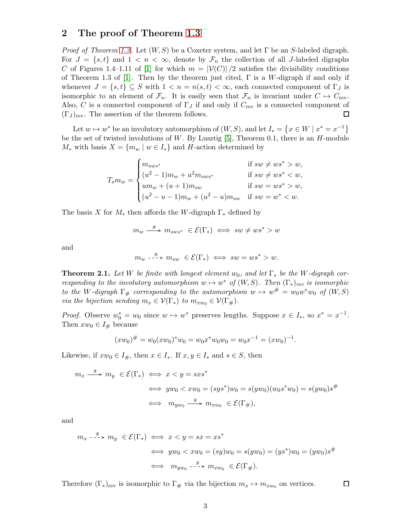# <span id="page-2-0"></span>2 The proof of Theorem [1.3](#page-1-1)

*Proof of Theorem [1.3.](#page-1-1)* Let  $(W, S)$  be a Coxeter system, and let  $\Gamma$  be an S-labeled digraph. For  $J = \{s, t\}$  and  $1 < n < \infty$ , denote by  $\mathcal{F}_n$  the collection of all J-labeled digraphs C of Figures 1.4–1.11 of [\[1\]](#page-14-0) for which  $m = |\mathcal{V}(C)|/2$  satisfies the divisibility conditions of Theorem 1.3 of [\[1\]](#page-14-0). Then by the theorem just cited,  $\Gamma$  is a W-digraph if and only if whenever  $J = \{s, t\} \subseteq S$  with  $1 < n = n(s, t) < \infty$ , each connected component of  $\Gamma_J$  is isomorphic to an element of  $\mathcal{F}_n$ . It is easily seen that  $\mathcal{F}_n$  is invariant under  $C \mapsto C_{\text{rev}}$ . Also, C is a connected component of  $\Gamma_J$  if and only if  $C_{\text{rev}}$  is a connected component of  $(\Gamma_J)_{\text{rev}}$ . The assertion of the theorem follows. □

Let  $w \mapsto w^*$  be an involutory automorphism of  $(W, S)$ , and let  $I_* = \{x \in W \mid x^* = x^{-1}\}\$ be the set of twisted involutions of W. By Lusztig  $[5]$ , Theorem 0.1, there is an H-module  $M_*$  with basis  $X = \{m_w \mid w \in I_*\}$  and H-action determined by

$$
T_{s}m_{w} = \begin{cases} m_{sws^{*}} & \text{if } sw \neq ws^{*} > w, \\ (u^{2}-1)m_{w} + u^{2}m_{sws^{*}} & \text{if } sw \neq ws^{*} < w, \\ um_{w} + (u+1)m_{sw} & \text{if } sw = ws^{*} > w, \\ (u^{2}-u-1)m_{w} + (u^{2}-u)m_{sw} & \text{if } sw = w^{*} < w. \end{cases}
$$

The basis X for  $M_*$  then affords the W-digraph  $\Gamma_*$  defined by

$$
m_w \xrightarrow{S} m_{sws^*} \in \mathcal{E}(\Gamma_*) \iff sw \neq ws^* > w
$$

and

 $m_w \stackrel{s}{\dashrightarrow} m_{sw} \in \mathcal{E}(\Gamma_*) \iff sw = ws^* > w.$ 

**Theorem 2.1.** Let W be finite with longest element  $w_0$ , and let  $\Gamma_*$  be the W-digraph corresponding to the involutory automorphism  $w \mapsto w^*$  of  $(W, S)$ . Then  $(\Gamma_*)_{rev}$  is isomorphic to the W-digraph  $\Gamma_{\#}$  corresponding to the automorphism  $w \mapsto w^{\#} = w_0w^*w_0$  of  $(W, S)$ via the bijection sending  $m_x \in \mathcal{V}(\Gamma_*)$  to  $m_{xw_0} \in \mathcal{V}(\Gamma_*)$ .

*Proof.* Observe  $w_0^* = w_0$  since  $w \mapsto w^*$  preserves lengths. Suppose  $x \in I_*,$  so  $x^* = x^{-1}$ . Then  $xw_0 \in I_{\#}$  because

$$
(xw_0)^{\#} = w_0(xw_0)^* w_0 = w_0 x^* w_0 w_0 = w_0 x^{-1} = (xw_0)^{-1}.
$$

Likewise, if  $xw_0 \in I_{\#}$ , then  $x \in I_*$ . If  $x, y \in I_*$  and  $s \in S$ , then

$$
m_x \xrightarrow{S} m_y \in \mathcal{E}(\Gamma_*) \iff x < y = sxs^*
$$
\n
$$
\iff yw_0 < xw_0 = (sys^*)w_0 = s(yw_0)(w_0s^*w_0) = s(yw_0)s^{\#}
$$
\n
$$
\iff m_{yw_0} \xrightarrow{S} m_{xw_0} \in \mathcal{E}(\Gamma_{\#}),
$$

and

$$
m_x \xrightarrow{S} m_y \in \mathcal{E}(\Gamma_*) \iff x < y = sx = xs^*
$$
\n
$$
\iff yw_0 < xw_0 = (sy)w_0 = s(yw_0) = (ys^*)w_0 = (yw_0)s^{\#}
$$
\n
$$
\iff m_{yw_0} \xrightarrow{S} m_{xw_0} \in \mathcal{E}(\Gamma_{\#}).
$$

 $\Box$ 

Therefore  $(\Gamma_*)_{\text{rev}}$  is isomorphic to  $\Gamma_\#$  via the bijection  $m_x \mapsto m_{xw_0}$  on vertices.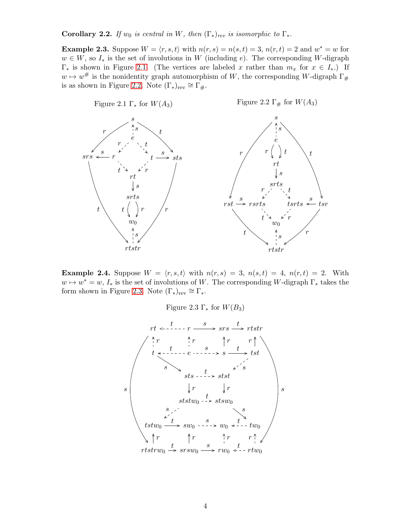Corollary 2.2. If  $w_0$  is central in W, then  $(\Gamma_*)_{rev}$  is isomorphic to  $\Gamma_*$ .

**Example 2.3.** Suppose  $W = \langle r, s, t \rangle$  with  $n(r, s) = n(s, t) = 3$ ,  $n(r, t) = 2$  and  $w^* = w$  for  $w \in W$ , so  $I_*$  is the set of involutions in W (including e). The corresponding W-digraph  $\Gamma_*$  is shown in Figure [2.1.](#page-3-0) (The vertices are labeled x rather than  $m_x$  for  $x \in I_*$ .) If  $w \mapsto w^{\#}$  is the nonidentity graph automorphism of W, the corresponding W-digraph  $\Gamma_{\#}$ is as shown in Figure [2.2.](#page-3-0) Note  $(\Gamma_*)_{rev} \cong \Gamma_{\#}$ .

<span id="page-3-0"></span>

<span id="page-3-1"></span>**Example 2.4.** Suppose  $W = \langle r, s, t \rangle$  with  $n(r, s) = 3$ ,  $n(s, t) = 4$ ,  $n(r, t) = 2$ . With  $w \mapsto w^* = w, I_*$  is the set of involutions of W. The corresponding W-digraph  $\Gamma_*$  takes the form shown in Figure [2.3.](#page-3-1) Note  $(\Gamma_*)_{rev} \cong \Gamma_*$ .

Figure 2.3  $\Gamma_*$  for  $W(B_3)$ 

$$
rt \leftarrow -1 - r \xrightarrow{s} srs \xrightarrow{t} rtstr
$$
\n
$$
t \leftarrow t -1 - e \xrightarrow{s} s \xrightarrow{t} tstr
$$
\n
$$
s \xrightarrow{s} s \xrightarrow{s} t
$$
\n
$$
s \xrightarrow{s} s \xrightarrow{s} t
$$
\n
$$
s \xrightarrow{s} s \xrightarrow{s} t
$$
\n
$$
s \xrightarrow{s} s \xrightarrow{s} t
$$
\n
$$
t \xrightarrow{s} s \xrightarrow{s} t
$$
\n
$$
t \xrightarrow{s} s \xrightarrow{s} t
$$
\n
$$
t \xrightarrow{s} t
$$
\n
$$
t \xrightarrow{s} t
$$
\n
$$
t \xrightarrow{s} t
$$
\n
$$
t \xrightarrow{s} t
$$
\n
$$
t \xrightarrow{s} t
$$
\n
$$
t \xrightarrow{s} t
$$
\n
$$
t \xrightarrow{s} t
$$
\n
$$
t \xrightarrow{s} t
$$
\n
$$
t \xrightarrow{s} t
$$
\n
$$
t \xrightarrow{s} t
$$
\n
$$
t \xrightarrow{s} t
$$
\n
$$
t \xrightarrow{s} t
$$
\n
$$
t \xrightarrow{s} t
$$
\n
$$
t \xrightarrow{s} t
$$
\n
$$
t \xrightarrow{s} t
$$
\n
$$
t \xrightarrow{s} t
$$
\n
$$
t \xrightarrow{s} t
$$
\n
$$
t \xrightarrow{s} t
$$
\n
$$
t \xrightarrow{s} t
$$
\n
$$
t \xrightarrow{s} t
$$
\n
$$
t \xrightarrow{s} t
$$
\n
$$
t \xrightarrow{s} t
$$
\n
$$
t \xrightarrow{s} t
$$
\n
$$
t \xrightarrow{s} t
$$
\n
$$
t \xrightarrow{s} t
$$
\n
$$
t \xrightarrow{s} t
$$
\n
$$
t \xrightarrow{s} t
$$
\n
$$
t \xrightarrow{s} t
$$
\n
$$
t \xrightarrow{s} t
$$
\n
$$
t \xrightarrow{s} t
$$
\n
$$
t \xrightarrow{s} t
$$
\n
$$
t \xrightarrow{s} t
$$
\n
$$
t \xrightarrow{s} t
$$
\n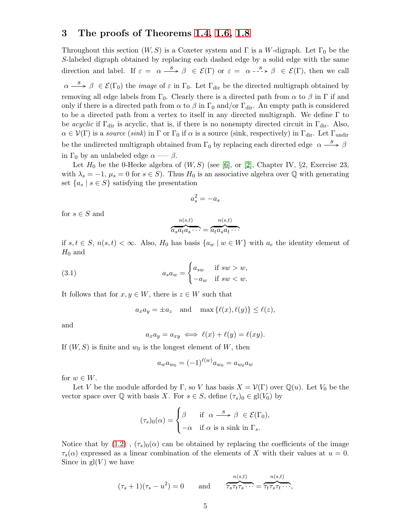# <span id="page-4-0"></span>3 The proofs of Theorems [1.4,](#page-1-2) [1.6,](#page-1-3) [1.8](#page-1-4)

Throughout this section  $(W, S)$  is a Coxeter system and  $\Gamma$  is a W-digraph. Let  $\Gamma_0$  be the S-labeled digraph obtained by replacing each dashed edge by a solid edge with the same direction and label. If  $\varepsilon = \alpha \stackrel{s}{\longrightarrow} \beta \in \mathcal{E}(\Gamma)$  or  $\varepsilon = \alpha \stackrel{s}{\longrightarrow} \beta \in \mathcal{E}(\Gamma)$ , then we call  $\alpha \stackrel{s}{\longrightarrow} \beta \in \mathcal{E}(\Gamma_0)$  the *image* of  $\varepsilon$  in  $\Gamma_0$ . Let  $\Gamma_{\text{dir}}$  be the directed multigraph obtained by removing all edge labels from  $\Gamma_0$ . Clearly there is a directed path from  $\alpha$  to  $\beta$  in  $\Gamma$  if and only if there is a directed path from  $\alpha$  to  $\beta$  in  $\Gamma_0$  and/or  $\Gamma_{\text{dir}}$ . An empty path is considered to be a directed path from a vertex to itself in any directed multigraph. We define  $\Gamma$  to be acyclic if  $\Gamma_{\text{dir}}$  is acyclic, that is, if there is no nonempty directed circuit in  $\Gamma_{\text{dir}}$ . Also,  $\alpha \in \mathcal{V}(\Gamma)$  is a source (sink) in  $\Gamma$  or  $\Gamma_0$  if  $\alpha$  is a source (sink, respectively) in  $\Gamma_{\text{dir}}$ . Let  $\Gamma_{\text{undir}}$ be the undirected multigraph obtained from  $\Gamma_0$  by replacing each directed edge  $\alpha \stackrel{s}{\longrightarrow} \beta$ in  $\Gamma_0$  by an unlabeled edge  $\alpha \longrightarrow \beta$ .

Let  $H_0$  be the 0-Hecke algebra of  $(W, S)$  (see [\[6\]](#page-14-3), or [\[2\]](#page-14-4), Chapter IV, §2, Exercise 23, with  $\lambda_s = -1$ ,  $\mu_s = 0$  for  $s \in S$ ). Thus  $H_0$  is an associative algebra over Q with generating set  ${a_s | s \in S}$  satisfying the presentation

$$
a_s^2 = -a_s
$$

for  $s \in S$  and

$$
\overbrace{a_s a_t a_s \cdots}^{n(s,t)} = \overbrace{a_t a_s a_t \cdots}^{n(s,t)}
$$

if  $s, t \in S$ ,  $n(s,t) < \infty$ . Also,  $H_0$  has basis  $\{a_w \mid w \in W\}$  with  $a_e$  the identity element of  $H_0$  and

(3.1) 
$$
a_s a_w = \begin{cases} a_{sw} & \text{if } sw > w, \\ -a_w & \text{if } sw < w. \end{cases}
$$

It follows that for  $x, y \in W$ , there is  $z \in W$  such that

<span id="page-4-1"></span>
$$
a_x a_y = \pm a_z
$$
 and  $\max{\{\ell(x), \ell(y)\}} \le \ell(z)$ ,

and

$$
a_x a_y = a_{xy} \iff \ell(x) + \ell(y) = \ell(xy).
$$

If  $(W, S)$  is finite and  $w_0$  is the longest element of W, then

$$
a_w a_{w_0} = (-1)^{\ell(w)} a_{w_0} = a_{w_0} a_w
$$

for  $w \in W$ .

Let V be the module afforded by Γ, so V has basis  $X = \mathcal{V}(\Gamma)$  over  $\mathbb{Q}(u)$ . Let  $V_0$  be the vector space over  $\mathbb Q$  with basis X. For  $s \in S$ , define  $(\tau_s)_0 \in \text{gl}(V_0)$  by

$$
(\tau_s)_0(\alpha) = \begin{cases} \beta & \text{if } \alpha \stackrel{s}{\longrightarrow} \beta \in \mathcal{E}(\Gamma_0), \\ -\alpha & \text{if } \alpha \text{ is a sink in } \Gamma_s. \end{cases}
$$

Notice that by  $(1.2)$ ,  $(\tau_s)_0(\alpha)$  can be obtained by replacing the coefficients of the image  $\tau_s(\alpha)$  expressed as a linear combination of the elements of X with their values at  $u = 0$ . Since in  $gl(V)$  we have

$$
(\tau_s + 1)(\tau_s - u^2) = 0
$$
 and  $\overbrace{\tau_s \tau_t \tau_s \cdots}^{n(s,t)} = \overbrace{\tau_t \tau_s \tau_t \cdots}^{n(s,t)},$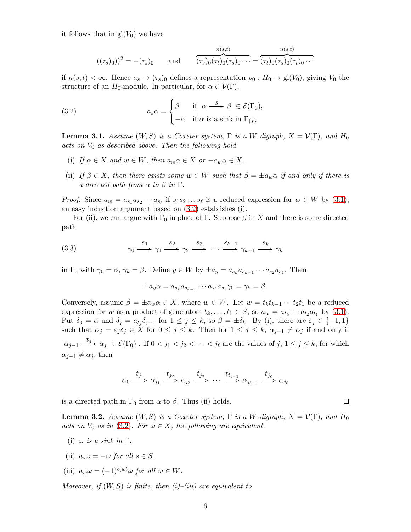it follows that in  $gl(V_0)$  we have

<span id="page-5-0"></span>
$$
((\tau_s)_0))^2 = -(\tau_s)_0
$$
 and  $\overbrace{(\tau_s)_0(\tau_t)_0(\tau_s)_0 \cdots}^{n(s,t)} = \overbrace{(\tau_t)_0(\tau_s)_0(\tau_t)_0 \cdots}^{n(s,t)}$ 

if  $n(s, t) < \infty$ . Hence  $a_s \mapsto (\tau_s)_0$  defines a representation  $\rho_0 : H_0 \to \text{gl}(V_0)$ , giving  $V_0$  the structure of an  $H_0$ -module. In particular, for  $\alpha \in \mathcal{V}(\Gamma)$ ,

(3.2) 
$$
a_s \alpha = \begin{cases} \beta & \text{if } \alpha \stackrel{s}{\longrightarrow} \beta \in \mathcal{E}(\Gamma_0), \\ -\alpha & \text{if } \alpha \text{ is a sink in } \Gamma_{\{s\}}. \end{cases}
$$

<span id="page-5-1"></span>**Lemma 3.1.** Assume  $(W, S)$  is a Coxeter system,  $\Gamma$  is a W-digraph,  $X = \mathcal{V}(\Gamma)$ , and  $H_0$ acts on  $V_0$  as described above. Then the following hold.

- (i) If  $\alpha \in X$  and  $w \in W$ , then  $a_w \alpha \in X$  or  $-a_w \alpha \in X$ .
- (ii) If  $\beta \in X$ , then there exists some  $w \in W$  such that  $\beta = \pm a_w \alpha$  if and only if there is a directed path from  $\alpha$  to  $\beta$  in  $\Gamma$ .

*Proof.* Since  $a_w = a_{s_1} a_{s_2} \cdots a_{s_\ell}$  if  $s_1 s_2 \ldots s_\ell$  is a reduced expression for  $w \in W$  by  $(3.1)$ , an easy induction argument based on [\(3.2\)](#page-5-0) establishes (i).

For (ii), we can argue with  $\Gamma_0$  in place of  $\Gamma$ . Suppose  $\beta$  in X and there is some directed path

(3.3) 
$$
\gamma_0 \xrightarrow{s_1} \gamma_1 \xrightarrow{s_2} \gamma_2 \xrightarrow{s_3} \cdots \xrightarrow{s_{k-1}} \gamma_{k-1} \xrightarrow{s_k} \gamma_k
$$

in  $\Gamma_0$  with  $\gamma_0 = \alpha$ ,  $\gamma_k = \beta$ . Define  $y \in W$  by  $\pm a_y = a_{s_k} a_{s_{k-1}} \cdots a_{s_2} a_{s_1}$ . Then

$$
\pm a_y \alpha = a_{s_k} a_{s_{k-1}} \cdots a_{s_2} a_{s_1} \gamma_0 = \gamma_k = \beta.
$$

Conversely, assume  $\beta = \pm a_w \alpha \in X$ , where  $w \in W$ . Let  $w = t_k t_{k-1} \cdots t_2 t_1$  be a reduced expression for w as a product of generators  $t_k, \ldots, t_1 \in S$ , so  $a_w = a_{t_k} \cdots a_{t_2} a_{t_1}$  by [\(3.1\)](#page-4-1). Put  $\delta_0 = \alpha$  and  $\delta_j = a_{t_j} \delta_{j-1}$  for  $1 \leq j \leq k$ , so  $\beta = \pm \delta_k$ . By (i), there are  $\varepsilon_j \in \{-1, 1\}$ such that  $\alpha_j = \varepsilon_j \delta_j \in X$  for  $0 \leq j \leq k$ . Then for  $1 \leq j \leq k$ ,  $\alpha_{j-1} \neq \alpha_j$  if and only if  $\alpha_{j-1} \stackrel{t_j}{\longrightarrow} \alpha_j \in \mathcal{E}(\Gamma_0)$  . If  $0 < j_1 < j_2 < \cdots < j_\ell$  are the values of  $j, 1 \le j \le k$ , for which  $\alpha_{i-1} \neq \alpha_i$ , then

$$
\alpha_0 \xrightarrow{t_{j_1}} \alpha_{j_1} \xrightarrow{t_{j_2}} \alpha_{j_2} \xrightarrow{t_{j_3}} \cdots \xrightarrow{t_{t_{\ell-1}}} \alpha_{j_{\ell-1}} \xrightarrow{t_{j_\ell}} \alpha_{j_\ell}
$$

is a directed path in  $\Gamma_0$  from  $\alpha$  to  $\beta$ . Thus (ii) holds.

**Lemma 3.2.** Assume  $(W, S)$  is a Coxeter system,  $\Gamma$  is a W-digraph,  $X = V(\Gamma)$ , and  $H_0$ acts on  $V_0$  as in [\(3.2\)](#page-5-0). For  $\omega \in X$ , the following are equivalent.

- (i)  $\omega$  is a sink in  $\Gamma$ .
- (ii)  $a_s \omega = -\omega$  for all  $s \in S$ .
- (iii)  $a_w \omega = (-1)^{\ell(w)} \omega$  for all  $w \in W$ .

Moreover, if  $(W, S)$  is finite, then  $(i)$ – $(iii)$  are equivalent to

 $\Box$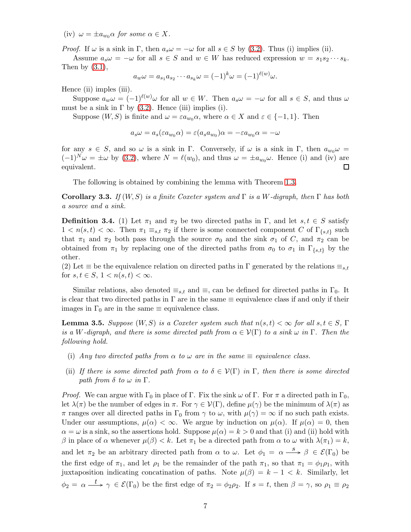(iv)  $\omega = \pm a_{wo}\alpha$  for some  $\alpha \in X$ .

*Proof.* If  $\omega$  is a sink in Γ, then  $a_s\omega = -\omega$  for all  $s \in S$  by [\(3.2\)](#page-5-0). Thus (i) implies (ii).

Assume  $a_s \omega = -\omega$  for all  $s \in S$  and  $w \in W$  has reduced expression  $w = s_1 s_2 \cdots s_k$ . Then by  $(3.1)$ ,

$$
a_w \omega = a_{s_1} a_{s_2} \cdots a_{s_k} \omega = (-1)^k \omega = (-1)^{\ell(w)} \omega.
$$

Hence (ii) imples (iii).

Suppose  $a_w \omega = (-1)^{\ell(w)} \omega$  for all  $w \in W$ . Then  $a_s \omega = -\omega$  for all  $s \in S$ , and thus  $\omega$ must be a sink in  $\Gamma$  by [\(3.2\)](#page-5-0). Hence (iii) implies (i).

Suppose  $(W, S)$  is finite and  $\omega = \varepsilon a_{w_0} \alpha$ , where  $\alpha \in X$  and  $\varepsilon \in \{-1, 1\}$ . Then

$$
a_s\omega=a_s(\varepsilon a_{w_0}\alpha)=\varepsilon(a_s a_{w_0})\alpha=-\varepsilon a_{w_0}\alpha=-\omega
$$

for any  $s \in S$ , and so  $\omega$  is a sink in Γ. Conversely, if  $\omega$  is a sink in Γ, then  $a_{w_0}\omega =$  $(-1)^N \omega = \pm \omega$  by [\(3.2\)](#page-5-0), where  $N = \ell(w_0)$ , and thus  $\omega = \pm a_{w_0} \omega$ . Hence (i) and (iv) are equivalent. □

The following is obtained by combining the lemma with Theorem [1.3.](#page-1-1)

<span id="page-6-1"></span>**Corollary 3.3.** If  $(W, S)$  is a finite Coxeter system and  $\Gamma$  is a W-digraph, then  $\Gamma$  has both a source and a sink.

**Definition 3.4.** (1) Let  $\pi_1$  and  $\pi_2$  be two directed paths in Γ, and let  $s, t \in S$  satisfy  $1 < n(s,t) < \infty$ . Then  $\pi_1 \equiv_{s,t} \pi_2$  if there is some connected component C of  $\Gamma_{\{s,t\}}$  such that  $\pi_1$  and  $\pi_2$  both pass through the source  $\sigma_0$  and the sink  $\sigma_1$  of C, and  $\pi_2$  can be obtained from  $\pi_1$  by replacing one of the directed paths from  $\sigma_0$  to  $\sigma_1$  in  $\Gamma_{\{s,t\}}$  by the other.

(2) Let  $\equiv$  be the equivalence relation on directed paths in  $\Gamma$  generated by the relations  $\equiv_{s,t}$ for  $s, t \in S$ ,  $1 < n(s,t) < \infty$ .

Similar relations, also denoted  $\equiv_{s,t}$  and  $\equiv$ , can be defined for directed paths in  $\Gamma_0$ . It is clear that two directed paths in  $\Gamma$  are in the same  $\equiv$  equivalence class if and only if their images in  $\Gamma_0$  are in the same  $\equiv$  equivalence class.

<span id="page-6-0"></span>**Lemma 3.5.** Suppose  $(W, S)$  is a Coxeter system such that  $n(s, t) < \infty$  for all  $s, t \in S$ ,  $\Gamma$ is a W-digraph, and there is some directed path from  $\alpha \in \mathcal{V}(\Gamma)$  to a sink  $\omega$  in  $\Gamma$ . Then the following hold.

- (i) Any two directed paths from  $\alpha$  to  $\omega$  are in the same  $\equiv$  equivalence class.
- (ii) If there is some directed path from  $\alpha$  to  $\delta \in \mathcal{V}(\Gamma)$  in  $\Gamma$ , then there is some directed path from  $\delta$  to  $\omega$  in  $\Gamma$ .

*Proof.* We can argue with  $\Gamma_0$  in place of  $\Gamma$ . Fix the sink  $\omega$  of  $\Gamma$ . For  $\pi$  a directed path in  $\Gamma_0$ , let  $\lambda(\pi)$  be the number of edges in  $\pi$ . For  $\gamma \in \mathcal{V}(\Gamma)$ , define  $\mu(\gamma)$  be the minimum of  $\lambda(\pi)$  as  $\pi$  ranges over all directed paths in  $\Gamma_0$  from  $\gamma$  to  $\omega$ , with  $\mu(\gamma) = \infty$  if no such path exists. Under our assumptions,  $\mu(\alpha) < \infty$ . We argue by induction on  $\mu(\alpha)$ . If  $\mu(\alpha) = 0$ , then  $\alpha = \omega$  is a sink, so the assertions hold. Suppose  $\mu(\alpha) = k > 0$  and that (i) and (ii) hold with β in place of α whenever  $\mu(\beta) < k$ . Let  $\pi_1$  be a directed path from α to ω with  $\lambda(\pi_1) = k$ , and let  $\pi_2$  be an arbitrary directed path from  $\alpha$  to  $\omega$ . Let  $\phi_1 = \alpha \stackrel{s}{\longrightarrow} \beta \in \mathcal{E}(\Gamma_0)$  be the first edge of  $\pi_1$ , and let  $\rho_1$  be the remainder of the path  $\pi_1$ , so that  $\pi_1 = \phi_1 \rho_1$ , with juxtaposition indicating concatination of paths. Note  $\mu(\beta) = k - 1 < k$ . Similarly, let  $\phi_2 = \alpha \stackrel{t}{\longrightarrow} \gamma \in \mathcal{E}(\Gamma_0)$  be the first edge of  $\pi_2 = \phi_2 \rho_2$ . If  $s = t$ , then  $\beta = \gamma$ , so  $\rho_1 \equiv \rho_2$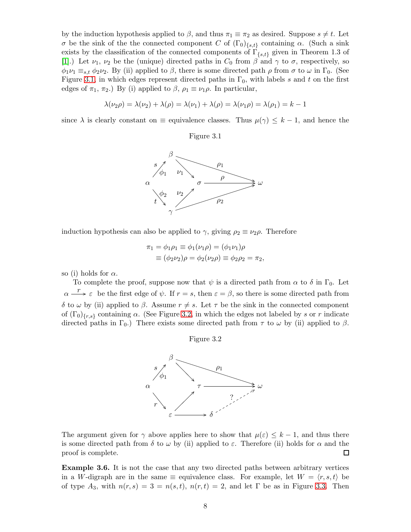by the induction hypothesis applied to  $\beta$ , and thus  $\pi_1 \equiv \pi_2$  as desired. Suppose  $s \neq t$ . Let σ be the sink of the the connected component C of  $(\Gamma_0)_{\{s,t\}}$  containing α. (Such a sink exists by the classification of the connected components of  $\Gamma_{\{s,t\}}$  given in Theorem 1.3 of [\[1\]](#page-14-0).) Let  $\nu_1, \nu_2$  be the (unique) directed paths in  $C_0$  from  $\beta$  and  $\gamma$  to  $\sigma$ , respectively, so  $\phi_1\nu_1 \equiv_{s,t} \phi_2\nu_2$ . By (ii) applied to  $\beta$ , there is some directed path  $\rho$  from  $\sigma$  to  $\omega$  in  $\Gamma_0$ . (See Figure [3.1,](#page-7-0) in which edges represent directed paths in  $\Gamma_0$ , with labels s and t on the first edges of  $\pi_1$ ,  $\pi_2$ .) By (i) applied to  $\beta$ ,  $\rho_1 \equiv \nu_1 \rho$ . In particular,

$$
\lambda(\nu_2 \rho) = \lambda(\nu_2) + \lambda(\rho) = \lambda(\nu_1) + \lambda(\rho) = \lambda(\nu_1 \rho) = \lambda(\rho_1) = k - 1
$$

<span id="page-7-0"></span>since  $\lambda$  is clearly constant on  $\equiv$  equivalence classes. Thus  $\mu(\gamma) \leq k-1$ , and hence the





induction hypothesis can also be applied to  $\gamma$ , giving  $\rho_2 \equiv \nu_2 \rho$ . Therefore

$$
\pi_1 = \phi_1 \rho_1 \equiv \phi_1(\nu_1 \rho) = (\phi_1 \nu_1)\rho
$$
  

$$
\equiv (\phi_2 \nu_2)\rho = \phi_2(\nu_2 \rho) \equiv \phi_2 \rho_2 = \pi_2,
$$

so (i) holds for  $\alpha$ .

<span id="page-7-1"></span>To complete the proof, suppose now that  $\psi$  is a directed path from  $\alpha$  to  $\delta$  in  $\Gamma_0$ . Let  $\alpha \stackrel{r}{\longrightarrow} \varepsilon$  be the first edge of  $\psi$ . If  $r = s$ , then  $\varepsilon = \beta$ , so there is some directed path from δ to ω by (ii) applied to β. Assume  $r \neq s$ . Let  $\tau$  be the sink in the connected component of  $(\Gamma_0)_{\{r,s\}}$  containing  $\alpha$ . (See Figure [3.2,](#page-7-1) in which the edges not labeled by s or r indicate directed paths in  $\Gamma_0$ .) There exists some directed path from  $\tau$  to  $\omega$  by (ii) applied to  $\beta$ .





The argument given for  $\gamma$  above applies here to show that  $\mu(\varepsilon) \leq k-1$ , and thus there is some directed path from  $\delta$  to  $\omega$  by (ii) applied to  $\varepsilon$ . Therefore (ii) holds for  $\alpha$  and the proof is complete.  $\Box$ 

<span id="page-7-2"></span>Example 3.6. It is not the case that any two directed paths between arbitrary vertices in a W-digraph are in the same  $\equiv$  equivalence class. For example, let  $W = \langle r, s, t \rangle$  be of type  $A_3$ , with  $n(r, s) = 3 = n(s, t)$ ,  $n(r, t) = 2$ , and let  $\Gamma$  be as in Figure [3.3.](#page-8-0) Then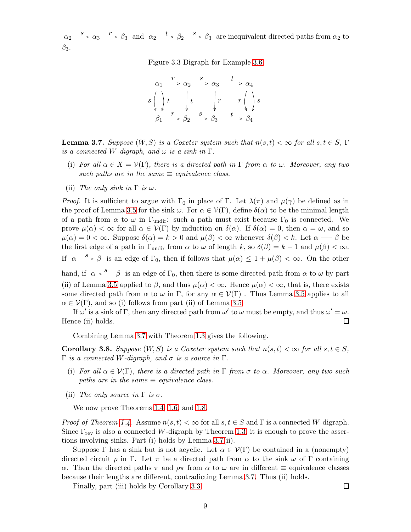<span id="page-8-0"></span> $\alpha_2 \stackrel{s}{\longrightarrow} \alpha_3 \stackrel{r}{\longrightarrow} \beta_3$  and  $\alpha_2 \stackrel{t}{\longrightarrow} \beta_2 \stackrel{s}{\longrightarrow} \beta_3$  are inequivalent directed paths from  $\alpha_2$  to  $\beta_3$ .

Figure 3.3 Digraph for Example [3.6](#page-7-2)



<span id="page-8-1"></span>**Lemma 3.7.** Suppose  $(W, S)$  is a Coxeter system such that  $n(s, t) < \infty$  for all  $s, t \in S$ ,  $\Gamma$ is a connected W-digraph, and  $\omega$  is a sink in  $\Gamma$ .

- (i) For all  $\alpha \in X = \mathcal{V}(\Gamma)$ , there is a directed path in  $\Gamma$  from  $\alpha$  to  $\omega$ . Moreover, any two such paths are in the same  $\equiv$  equivalence class.
- (ii) The only sink in  $\Gamma$  is  $\omega$ .

*Proof.* It is sufficient to argue with  $\Gamma_0$  in place of  $\Gamma$ . Let  $\lambda(\pi)$  and  $\mu(\gamma)$  be defined as in the proof of Lemma [3.5](#page-6-0) for the sink  $\omega$ . For  $\alpha \in \mathcal{V}(\Gamma)$ , define  $\delta(\alpha)$  to be the minimal length of a path from  $\alpha$  to  $\omega$  in  $\Gamma_{\text{undir}}$ : such a path must exist because  $\Gamma_0$  is connected. We prove  $\mu(\alpha) < \infty$  for all  $\alpha \in V(\Gamma)$  by induction on  $\delta(\alpha)$ . If  $\delta(\alpha) = 0$ , then  $\alpha = \omega$ , and so  $\mu(\alpha) = 0 < \infty$ . Suppose  $\delta(\alpha) = k > 0$  and  $\mu(\beta) < \infty$  whenever  $\delta(\beta) < k$ . Let  $\alpha \longrightarrow \beta$  be the first edge of a path in  $\Gamma_{\text{undir}}$  from  $\alpha$  to  $\omega$  of length k, so  $\delta(\beta) = k - 1$  and  $\mu(\beta) < \infty$ . If  $\alpha \stackrel{s}{\longrightarrow} \beta$  is an edge of  $\Gamma_0$ , then if follows that  $\mu(\alpha) \leq 1 + \mu(\beta) < \infty$ . On the other hand, if  $\alpha \stackrel{s}{\longleftarrow} \beta$  is an edge of  $\Gamma_0$ , then there is some directed path from  $\alpha$  to  $\omega$  by part (ii) of Lemma [3.5](#page-6-0) applied to  $\beta$ , and thus  $\mu(\alpha) < \infty$ . Hence  $\mu(\alpha) < \infty$ , that is, there exists some directed path from  $\alpha$  to  $\omega$  in Γ, for any  $\alpha \in \mathcal{V}(\Gamma)$ . Thus Lemma [3.5](#page-6-0) applies to all  $\alpha \in \mathcal{V}(\Gamma)$ , and so (i) follows from part (ii) of Lemma [3.5.](#page-6-0)

If  $\omega'$  is a sink of  $\Gamma$ , then any directed path from  $\omega'$  to  $\omega$  must be empty, and thus  $\omega' = \omega$ . Hence (ii) holds.  $\Box$ 

Combining Lemma [3.7](#page-8-1) with Theorem [1.3](#page-1-1) gives the following.

<span id="page-8-2"></span>**Corollary 3.8.** Suppose  $(W, S)$  is a Coxeter system such that  $n(s, t) < \infty$  for all  $s, t \in S$ . Γ is a connected W-digraph, and  $\sigma$  is a source in Γ.

- (i) For all  $\alpha \in \mathcal{V}(\Gamma)$ , there is a directed path in  $\Gamma$  from  $\sigma$  to  $\alpha$ . Moreover, any two such paths are in the same  $\equiv$  equivalence class.
- (ii) The only source in  $\Gamma$  is  $\sigma$ .

We now prove Theorems [1.4,](#page-1-2) [1.6,](#page-1-3) and [1.8.](#page-1-4)

*Proof of Theorem [1.4.](#page-1-2)* Assume  $n(s, t) < \infty$  for all  $s, t \in S$  and  $\Gamma$  is a connected W-digraph. Since  $\Gamma_{\text{rev}}$  is also a connected W-digraph by Theorem [1.3,](#page-1-1) it is enough to prove the assertions involving sinks. Part (i) holds by Lemma [3.7\(](#page-8-1)ii).

Suppose Γ has a sink but is not acyclic. Let  $\alpha \in V(\Gamma)$  be contained in a (nonempty) directed circuit  $\rho$  in Γ. Let  $\pi$  be a directed path from  $\alpha$  to the sink  $\omega$  of Γ containing α. Then the directed paths π and  $ρπ$  from α to ω are in different  $\equiv$  equivalence classes because their lengths are different, contradicting Lemma [3.7.](#page-8-1) Thus (ii) holds.

Finally, part (iii) holds by Corollary [3.3.](#page-6-1)

 $\Box$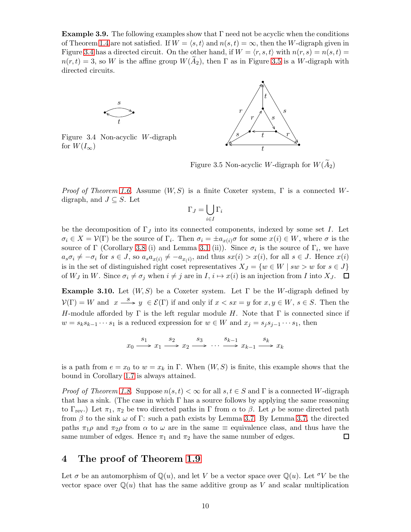<span id="page-9-2"></span>**Example 3.9.** The following examples show that  $\Gamma$  need not be acyclic when the conditions of Theorem [1.4](#page-1-2) are not satisfied. If  $W = \langle s, t \rangle$  and  $n(s, t) = \infty$ , then the W-digraph given in Figure [3.4](#page-9-2) has a directed circuit. On the other hand, if  $W = \langle r, s, t \rangle$  with  $n(r, s) = n(s, t)$  $n(r, t) = 3$ , so W is the affine group  $W(A_2)$ , then  $\Gamma$  as in Figure [3.5](#page-9-2) is a W-digraph with directed circuits.



Figure 3.4 Non-acyclic W-digraph for  $W(I_{\infty})$ 



Figure 3.5 Non-acyclic W-digraph for  $W(A_2)$ 

*Proof of Theorem [1.6.](#page-1-3)* Assume  $(W, S)$  is a finite Coxeter system,  $\Gamma$  is a connected Wdigraph, and  $J \subseteq S$ . Let

$$
\Gamma_J = \bigcup_{i \in I} \Gamma_i
$$

be the decomposition of  $\Gamma_J$  into its connected components, indexed by some set I. Let  $\sigma_i \in X = \mathcal{V}(\Gamma)$  be the source of  $\Gamma_i$ . Then  $\sigma_i = \pm a_{x(i)}\sigma$  for some  $x(i) \in W$ , where  $\sigma$  is the source of  $\Gamma$  (Corollary [3.8](#page-8-2) (i) and Lemma [3.1](#page-5-1) (ii)). Since  $\sigma_i$  is the source of  $\Gamma_i$ , we have  $a_s \sigma_i \neq -\sigma_i$  for  $s \in J$ , so  $a_s a_{x(i)} \neq -a_{x(i)}$ , and thus  $sx(i) > x(i)$ , for all  $s \in J$ . Hence  $x(i)$ is in the set of distinguished right coset representatives  $X_J = \{w \in W \mid sw > w \text{ for } s \in J\}$ of  $W_J$  in W. Since  $\sigma_i \neq \sigma_j$  when  $i \neq j$  are in  $I, i \mapsto x(i)$  is an injection from I into  $X_J$ .  $\Box$ 

<span id="page-9-0"></span>**Example 3.10.** Let  $(W, S)$  be a Coxeter system. Let  $\Gamma$  be the W-digraph defined by  $V(\Gamma) = W$  and  $x \stackrel{s}{\longrightarrow} y \in \mathcal{E}(\Gamma)$  if and only if  $x < sx = y$  for  $x, y \in W$ ,  $s \in S$ . Then the H-module afforded by  $\Gamma$  is the left regular module H. Note that  $\Gamma$  is connected since if  $w = s_k s_{k-1} \cdots s_1$  is a reduced expression for  $w \in W$  and  $x_j = s_j s_{j-1} \cdots s_1$ , then

$$
x_0 \xrightarrow{s_1} x_1 \xrightarrow{s_2} x_2 \xrightarrow{s_3} \cdots \xrightarrow{s_{k-1}} x_{k-1} \xrightarrow{s_k} x_k
$$

is a path from  $e = x_0$  to  $w = x_k$  in Γ. When  $(W, S)$  is finite, this example shows that the bound in Corollary [1.7](#page-1-0) is always attained.

*Proof of Theorem [1.8.](#page-1-4)* Suppose  $n(s, t) < \infty$  for all  $s, t \in S$  and  $\Gamma$  is a connected W-digraph that has a sink. (The case in which  $\Gamma$  has a source follows by applying the same reasoning to Γ<sub>rev</sub>.) Let  $\pi_1$ ,  $\pi_2$  be two directed paths in Γ from  $\alpha$  to  $\beta$ . Let  $\rho$  be some directed path from  $\beta$  to the sink  $\omega$  of Γ: such a path exists by Lemma [3.7.](#page-8-1) By Lemma [3.7,](#page-8-1) the directed paths  $\pi_1 \rho$  and  $\pi_2 \rho$  from  $\alpha$  to  $\omega$  are in the same  $\equiv$  equivalence class, and thus have the same number of edges. Hence  $\pi_1$  and  $\pi_2$  have the same number of edges. □

# <span id="page-9-1"></span>4 The proof of Theorem [1.9](#page-1-5)

Let  $\sigma$  be an automorphism of  $\mathbb{Q}(u)$ , and let V be a vector space over  $\mathbb{Q}(u)$ . Let  $\sigma V$  be the vector space over  $\mathbb{Q}(u)$  that has the same additive group as V and scalar multiplication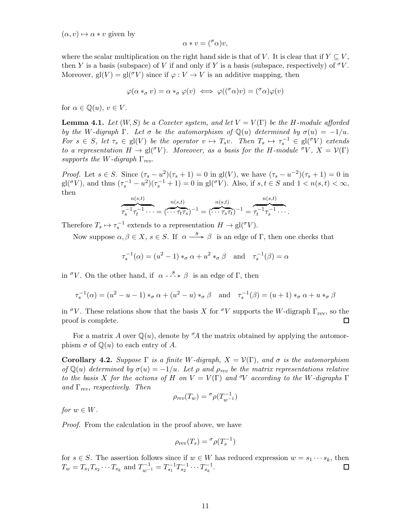$(\alpha, v) \mapsto \alpha * v$  given by

$$
\alpha * v = (^\sigma \alpha)v,
$$

where the scalar multiplication on the right hand side is that of V. It is clear that if  $Y \subseteq V$ , then Y is a basis (subspace) of V if and only if Y is a basis (subspace, respectively) of  $\sigma V$ . Moreover, gl(V) = gl( $\sigma$ V) since if  $\varphi: V \to V$  is an additive mapping, then

$$
\varphi(\alpha *_{\sigma} v) = \alpha *_{\sigma} \varphi(v) \iff \varphi((^{\sigma} \alpha)v) = (^{\sigma} \alpha)\varphi(v)
$$

for  $\alpha \in \mathbb{Q}(u)$ ,  $v \in V$ .

**Lemma 4.1.** Let  $(W, S)$  be a Coxeter system, and let  $V = V(\Gamma)$  be the H-module afforded by the W-digraph  $\Gamma$ . Let  $\sigma$  be the automorphism of  $\mathbb{Q}(u)$  determined by  $\sigma(u) = -1/u$ . For  $s \in S$ , let  $\tau_s \in gl(V)$  be the operator  $v \mapsto T_s v$ . Then  $T_s \mapsto \tau_s^{-1} \in gl(\sigma V)$  extends to a representation  $H \to \text{gl}^{\sigma}(V)$ . Moreover, as a basis for the H-module  ${}^{\sigma}V$ ,  $X = V(\Gamma)$ supports the W-digraph  $\Gamma_{rev}$ .

*Proof.* Let  $s \in S$ . Since  $(\tau_s - u^2)(\tau_s + 1) = 0$  in gl(V), we have  $(\tau_s - u^{-2})(\tau_s + 1) = 0$  in  $\mathrm{gl}({}^\sigma V)$ , and thus  $(\tau_s^{-1} - u^2)(\tau_s^{-1} + 1) = 0$  in  $\mathrm{gl}({}^\sigma V)$ . Also, if  $s, t \in S$  and  $1 < n(s, t) < \infty$ , then

$$
\overbrace{\tau_s^{-1}\tau_t^{-1}\cdots}^{n(s,t)} = (\overbrace{\cdots\tau_t\tau_s}^{n(s,t)})^{-1} = (\overbrace{\cdots\tau_s\tau_t}^{n(s,t)})^{-1} = \overbrace{\tau_t^{-1}\tau_s^{-1}\cdots}^{n(s,t)}.
$$

Therefore  $T_s \mapsto \tau_s^{-1}$  extends to a representation  $H \to \text{gl}({}^\sigma V)$ .

Now suppose  $\alpha, \beta \in X$ ,  $s \in S$ . If  $\alpha \stackrel{s}{\longrightarrow} \beta$  is an edge of  $\Gamma$ , then one checks that

$$
\tau_s^{-1}(\alpha) = (u^2 - 1) *_{\sigma} \alpha + u^2 *_{\sigma} \beta \quad \text{and} \quad \tau_s^{-1}(\beta) = \alpha
$$

in <sup> $\sigma$ </sup>V. On the other hand, if  $\alpha - \frac{s}{2} > \beta$  is an edge of Γ, then

$$
\tau_s^{-1}(\alpha) = (u^2 - u - 1) *_{\sigma} \alpha + (u^2 - u) *_{\sigma} \beta \quad \text{and} \quad \tau_s^{-1}(\beta) = (u + 1) *_{\sigma} \alpha + u *_{\sigma} \beta
$$

in  $\sigma V$ . These relations show that the basis X for  $\sigma V$  supports the W-digraph  $\Gamma_{\text{rev}}$ , so the proof is complete. П

For a matrix A over  $\mathbb{Q}(u)$ , denote by  $\mathcal{A}$  the matrix obtained by applying the automorphism  $\sigma$  of  $\mathbb{O}(u)$  to each entry of A.

<span id="page-10-0"></span>Corollary 4.2. Suppose  $\Gamma$  is a finite W-digraph,  $X = \mathcal{V}(\Gamma)$ , and  $\sigma$  is the automorphism of  $\mathbb{Q}(u)$  determined by  $\sigma(u) = -1/u$ . Let  $\rho$  and  $\rho_{rev}$  be the matrix representations relative to the basis X for the actions of H on  $V = V(\Gamma)$  and  $\mathcal{V}$  according to the W-digraphs  $\Gamma$ and  $\Gamma_{rev}$ , respectively. Then

$$
\rho_{rev}(T_w) = \sigma \rho(T_{w^{-1}}^{-1})
$$

for  $w \in W$ .

Proof. From the calculation in the proof above, we have

$$
\rho_{\text{rev}}(T_s) = \sigma \rho(T_s^{-1})
$$

for  $s \in S$ . The assertion follows since if  $w \in W$  has reduced expression  $w = s_1 \cdots s_k$ , then  $T_w = T_{s_1} T_{s_2} \cdots T_{s_k}$  and  $T_{w^{-1}}^{-1} = T_{s_1}^{-1} T_{s_2}^{-1} \cdots T_{s_k}^{-1}$ .  $\Box$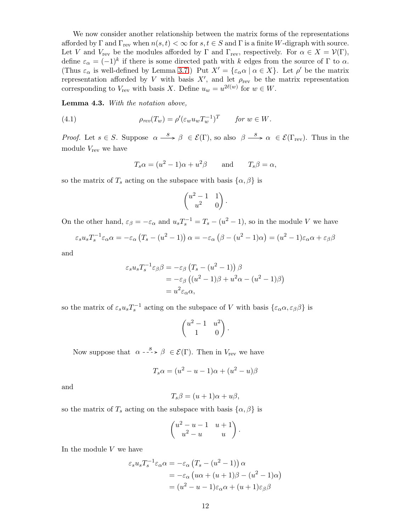We now consider another relationship between the matrix forms of the representations afforded by  $\Gamma$  and  $\Gamma_{\text{rev}}$  when  $n(s, t) < \infty$  for  $s, t \in S$  and  $\Gamma$  is a finite W-digraph with source. Let V and  $V_{\text{rev}}$  be the modules afforded by  $\Gamma$  and  $\Gamma_{\text{rev}}$ , respectively. For  $\alpha \in X = \mathcal{V}(\Gamma)$ , define  $\varepsilon_{\alpha} = (-1)^{k}$  if there is some directed path with k edges from the source of  $\Gamma$  to  $\alpha$ . (Thus  $\varepsilon_{\alpha}$  is well-defined by Lemma [3.7.](#page-8-1)) Put  $X' = {\varepsilon_{\alpha} \alpha \mid \alpha \in X}$ . Let  $\rho'$  be the matrix representation afforded by V with basis  $X'$ , and let  $\rho_{rev}$  be the matrix representation corresponding to  $V_{\text{rev}}$  with basis X. Define  $u_w = u^{2\ell(w)}$  for  $w \in W$ .

<span id="page-11-1"></span>Lemma 4.3. With the notation above,

(4.1) 
$$
\rho_{rev}(T_w) = \rho'(\varepsilon_w u_w T_w^{-1})^T \quad \text{for } w \in W.
$$

*Proof.* Let  $s \in S$ . Suppose  $\alpha \stackrel{s}{\longrightarrow} \beta \in \mathcal{E}(\Gamma)$ , so also  $\beta \stackrel{s}{\longrightarrow} \alpha \in \mathcal{E}(\Gamma_{\text{rev}})$ . Thus in the module  $V_{\text{rev}}$  we have

<span id="page-11-0"></span>
$$
T_s \alpha = (u^2 - 1)\alpha + u^2 \beta
$$
 and  $T_s \beta = \alpha$ ,

so the matrix of  $T_s$  acting on the subspace with basis  $\{\alpha, \beta\}$  is

$$
\begin{pmatrix} u^2 - 1 & 1 \ u^2 & 0 \end{pmatrix}.
$$

On the other hand,  $\varepsilon_{\beta} = -\varepsilon_{\alpha}$  and  $u_s T_s^{-1} = T_s - (u^2 - 1)$ , so in the module V we have

$$
\varepsilon_s u_s T_s^{-1} \varepsilon_\alpha \alpha = -\varepsilon_\alpha \left( T_s - (u^2 - 1) \right) \alpha = -\varepsilon_\alpha \left( \beta - (u^2 - 1) \alpha \right) = (u^2 - 1) \varepsilon_\alpha \alpha + \varepsilon_\beta \beta
$$

and

$$
\varepsilon_s u_s T_s^{-1} \varepsilon_\beta \beta = -\varepsilon_\beta \left( T_s - (u^2 - 1) \right) \beta
$$
  
=  $-\varepsilon_\beta \left( (u^2 - 1)\beta + u^2 \alpha - (u^2 - 1)\beta \right)$   
=  $u^2 \varepsilon_\alpha \alpha$ ,

so the matrix of  $\varepsilon_s u_s T_s^{-1}$  acting on the subspace of V with basis  $\{\varepsilon_\alpha \alpha, \varepsilon_\beta \beta\}$  is

$$
\begin{pmatrix} u^2 - 1 & u^2 \\ 1 & 0 \end{pmatrix}.
$$

Now suppose that  $\alpha \rightarrow s \ \beta \in \mathcal{E}(\Gamma)$ . Then in  $V_{\text{rev}}$  we have

$$
T_s \alpha = (u^2 - u - 1)\alpha + (u^2 - u)\beta
$$

and

$$
T_s\beta = (u+1)\alpha + u\beta,
$$

so the matrix of  $T_s$  acting on the subspace with basis  $\{\alpha, \beta\}$  is

$$
\begin{pmatrix} u^2 - u - 1 & u + 1 \ u^2 - u & u \end{pmatrix}.
$$

In the module V we have

$$
\varepsilon_s u_s T_s^{-1} \varepsilon_\alpha \alpha = -\varepsilon_\alpha \left( T_s - (u^2 - 1) \right) \alpha
$$
  
=  $-\varepsilon_\alpha \left( u\alpha + (u+1)\beta - (u^2 - 1)\alpha \right)$   
=  $(u^2 - u - 1)\varepsilon_\alpha \alpha + (u+1)\varepsilon_\beta \beta$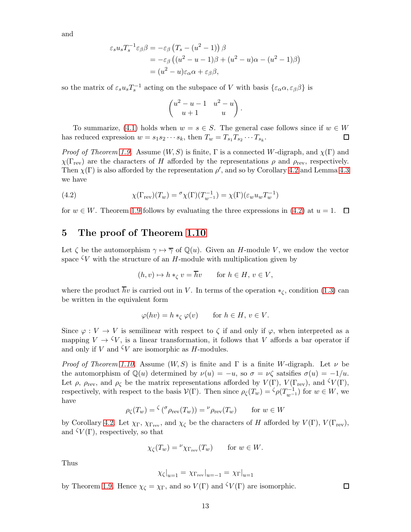and

$$
\varepsilon_s u_s T_s^{-1} \varepsilon_\beta \beta = -\varepsilon_\beta \left( T_s - (u^2 - 1) \right) \beta
$$
  
=  $-\varepsilon_\beta \left( (u^2 - u - 1)\beta + (u^2 - u)\alpha - (u^2 - 1)\beta \right)$   
=  $(u^2 - u)\varepsilon_\alpha \alpha + \varepsilon_\beta \beta,$ 

so the matrix of  $\varepsilon_s u_s T_s^{-1}$  acting on the subspace of V with basis  $\{\varepsilon_\alpha \alpha, \varepsilon_\beta \beta\}$  is

$$
\begin{pmatrix}u^2-u-1&u^2-u\\u+1&u\end{pmatrix}
$$

.

To summarize, [\(4.1\)](#page-11-0) holds when  $w = s \in S$ . The general case follows since if  $w \in W$ has reduced expression  $w = s_1 s_2 \cdots s_k$ , then  $T_w = T_{s_1} T_{s_2} \cdots T_{s_k}$ .  $\Box$ 

*Proof of Theorem [1.9.](#page-1-5)* Assume  $(W, S)$  is finite, Γ is a connected W-digraph, and  $\chi(\Gamma)$  and  $\chi(\Gamma_{\text{rev}})$  are the characters of H afforded by the representations  $\rho$  and  $\rho_{\text{rev}}$ , respectively. Then  $\chi(\Gamma)$  is also afforded by the representation  $\rho'$ , and so by Corollary [4.2](#page-10-0) and Lemma [4.3](#page-11-1) we have

<span id="page-12-1"></span>(4.2) 
$$
\chi(\Gamma_{\text{rev}})(T_w) = {}^{\sigma}\chi(\Gamma)(T_{w^{-1}}^{-1}) = \chi(\Gamma)(\varepsilon_w u_w T_w^{-1})
$$

for  $w \in W$ . Theorem [1.9](#page-1-5) follows by evaluating the three expressions in [\(4.2\)](#page-12-1) at  $u = 1$ .  $\Box$ 

### <span id="page-12-0"></span>5 The proof of Theorem [1.10](#page-1-6)

Let  $\zeta$  be the automorphism  $\gamma \mapsto \overline{\gamma}$  of  $\mathbb{Q}(u)$ . Given an H-module V, we endow the vector space  $\zeta V$  with the structure of an H-module with multiplication given by

$$
(h, v) \mapsto h *_{\zeta} v = \overline{h}v \quad \text{for } h \in H, v \in V,
$$

where the product  $\overline{h}v$  is carried out in V. In terms of the operation  $*_\zeta$ , condition [\(1.3\)](#page-1-7) can be written in the equivalent form

$$
\varphi(hv) = h *_{\zeta} \varphi(v) \quad \text{for } h \in H, v \in V.
$$

Since  $\varphi: V \to V$  is semilinear with respect to  $\zeta$  if and only if  $\varphi$ , when interpreted as a mapping  $V \to \zeta V$ , is a linear transformation, it follows that V affords a bar operator if and only if V and  $\mathcal{V}$  are isomorphic as H-modules.

*Proof of Theorem [1.10.](#page-1-6)* Assume  $(W, S)$  is finite and  $\Gamma$  is a finite W-digraph. Let  $\nu$  be the automorphism of  $\mathbb{Q}(u)$  determined by  $\nu(u) = -u$ , so  $\sigma = \nu \zeta$  satsifies  $\sigma(u) = -1/u$ . Let  $\rho$ ,  $\rho_{rev}$ , and  $\rho_{\zeta}$  be the matrix representations afforded by  $V(\Gamma)$ ,  $V(\Gamma_{rev})$ , and  $\zeta V(\Gamma)$ , respectively, with respect to the basis  $\mathcal{V}(\Gamma)$ . Then since  $\rho_{\zeta}(T_w) = \zeta \rho(T_{w-1}^{-1})$  for  $w \in W$ , we have

$$
\rho_{\zeta}(T_w) = \zeta(\sigma_{\rho_{\text{rev}}}(T_w)) = \nu_{\rho_{\text{rev}}}(T_w) \quad \text{for } w \in W
$$

by Corollary [4.2.](#page-10-0) Let  $\chi_{\Gamma}$ ,  $\chi_{\Gamma_{\text{rev}}}$ , and  $\chi_{\zeta}$  be the characters of H afforded by  $V(\Gamma)$ ,  $V(\Gamma_{\text{rev}})$ , and  $\zeta V(\Gamma)$ , respectively, so that

$$
\chi_{\zeta}(T_w) = {}^{\nu} \chi_{\Gamma_{\text{rev}}}(T_w) \quad \text{for } w \in W.
$$

Thus

$$
\chi_{\zeta}|_{u=1} = \chi_{\Gamma_{\text{rev}}}|_{u=-1} = \chi_{\Gamma}|_{u=1}
$$

 $\Box$ 

by Theorem [1.9.](#page-1-5) Hence  $\chi_{\zeta} = \chi_{\Gamma}$ , and so  $V(\Gamma)$  and  $\zeta V(\Gamma)$  are isomorphic.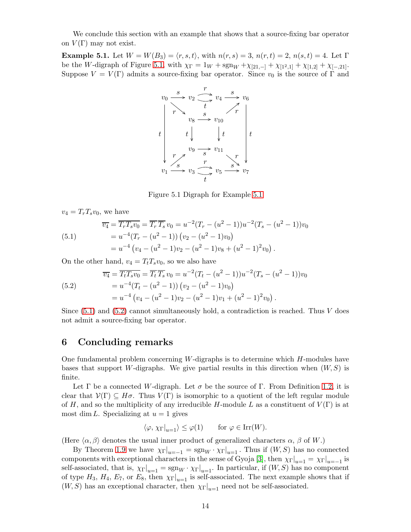We conclude this section with an example that shows that a source-fixing bar operator on  $V(\Gamma)$  may not exist.

<span id="page-13-1"></span><span id="page-13-0"></span>**Example 5.1.** Let  $W = W(B_3) = \langle r, s, t \rangle$ , with  $n(r, s) = 3$ ,  $n(r, t) = 2$ ,  $n(s, t) = 4$ . Let Γ be the W-digraph of Figure [5.1,](#page-13-1) with  $\chi_{\Gamma} = 1_W + sgn_W + \chi_{[21,-]} + \chi_{[1^2,1]} + \chi_{[1,2]} + \chi_{[-,21]}$ . Suppose  $V = V(\Gamma)$  admits a source-fixing bar operator. Since  $v_0$  is the source of  $\Gamma$  and



Figure 5.1 Digraph for Example [5.1](#page-13-0)

 $v_4 = T_rT_sv_0$ , we have

<span id="page-13-2"></span>(5.1) 
$$
\overline{v_4} = \overline{T_r T_s v_0} = \overline{T_r} \overline{T_s} v_0 = u^{-2} (T_r - (u^2 - 1)) u^{-2} (T_s - (u^2 - 1)) v_0
$$

$$
= u^{-4} (T_r - (u^2 - 1)) (v_2 - (u^2 - 1) v_0)
$$

$$
= u^{-4} (v_4 - (u^2 - 1) v_2 - (u^2 - 1) v_8 + (u^2 - 1)^2 v_0).
$$

On the other hand,  $v_4 = T_t T_s v_0$ , so we also have

<span id="page-13-3"></span>(5.2) 
$$
\overline{v_4} = \overline{T_t T_s v_0} = \overline{T_t} \overline{T_s} v_0 = u^{-2} (T_t - (u^2 - 1)) u^{-2} (T_s - (u^2 - 1)) v_0
$$

$$
= u^{-4} (T_t - (u^2 - 1)) (v_2 - (u^2 - 1) v_0)
$$

$$
= u^{-4} (v_4 - (u^2 - 1) v_2 - (u^2 - 1) v_1 + (u^2 - 1)^2 v_0).
$$

Since  $(5.1)$  and  $(5.2)$  cannot simultaneously hold, a contradiction is reached. Thus V does not admit a source-fixing bar operator.

#### 6 Concluding remarks

One fundamental problem concerning  $W$ -digraphs is to determine which  $H$ -modules have bases that support W-digraphs. We give partial results in this direction when  $(W, S)$  is finite.

Let  $\Gamma$  be a connected W-digraph. Let  $\sigma$  be the source of  $\Gamma$ . From Definition [1.2,](#page-0-1) it is clear that  $\mathcal{V}(\Gamma) \subseteq H\sigma$ . Thus  $V(\Gamma)$  is isomorphic to a quotient of the left regular module of H, and so the multiplicity of any irreducible H-module L as a constituent of  $V(\Gamma)$  is at most dim L. Specializing at  $u = 1$  gives

$$
\langle \varphi, \chi_{\Gamma}|_{u=1} \rangle \le \varphi(1)
$$
 for  $\varphi \in \text{Irr}(W)$ .

(Here  $\langle \alpha, \beta \rangle$  denotes the usual inner product of generalized characters  $\alpha$ ,  $\beta$  of W.)

By Theorem [1.9](#page-1-5) we have  $\chi_{\Gamma}|_{u=-1} = \text{sgn}_W \cdot \chi_{\Gamma}|_{u=1}$ . Thus if  $(W, S)$  has no connected components with exceptional characters in the sense of Gyoja [\[3\]](#page-14-5), then  $\chi_{\Gamma}|_{u=1} = \chi_{\Gamma}|_{u=-1}$  is self-associated, that is,  $\chi_{\Gamma}|_{u=1} = \text{sgn}_W \cdot \chi_{\Gamma}|_{u=1}$ . In particular, if  $(W, S)$  has no component of type  $H_3$ ,  $H_4$ ,  $E_7$ , or  $E_8$ , then  $\chi_{\Gamma}|_{u=1}$  is self-associated. The next example shows that if  $(W, S)$  has an exceptional character, then  $\chi_{\Gamma}|_{u=1}$  need not be self-associated.